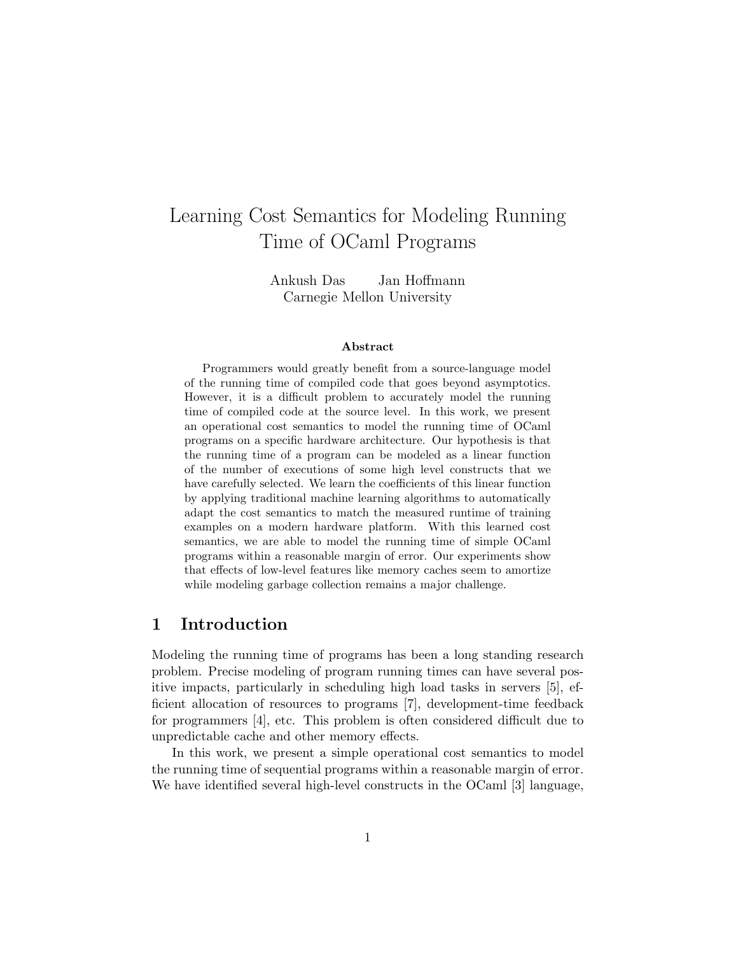# Learning Cost Semantics for Modeling Running Time of OCaml Programs

Ankush Das Jan Hoffmann Carnegie Mellon University

#### Abstract

Programmers would greatly benefit from a source-language model of the running time of compiled code that goes beyond asymptotics. However, it is a difficult problem to accurately model the running time of compiled code at the source level. In this work, we present an operational cost semantics to model the running time of OCaml programs on a specific hardware architecture. Our hypothesis is that the running time of a program can be modeled as a linear function of the number of executions of some high level constructs that we have carefully selected. We learn the coefficients of this linear function by applying traditional machine learning algorithms to automatically adapt the cost semantics to match the measured runtime of training examples on a modern hardware platform. With this learned cost semantics, we are able to model the running time of simple OCaml programs within a reasonable margin of error. Our experiments show that effects of low-level features like memory caches seem to amortize while modeling garbage collection remains a major challenge.

### 1 Introduction

Modeling the running time of programs has been a long standing research problem. Precise modeling of program running times can have several positive impacts, particularly in scheduling high load tasks in servers [5], efficient allocation of resources to programs [7], development-time feedback for programmers [4], etc. This problem is often considered difficult due to unpredictable cache and other memory effects.

In this work, we present a simple operational cost semantics to model the running time of sequential programs within a reasonable margin of error. We have identified several high-level constructs in the OCaml [3] language,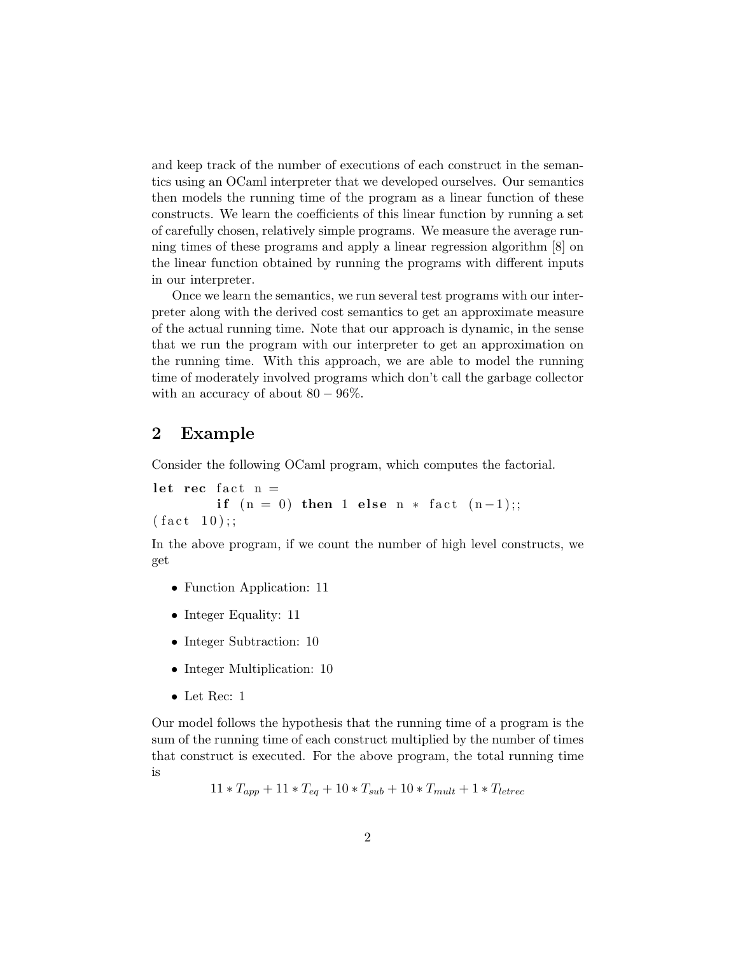and keep track of the number of executions of each construct in the semantics using an OCaml interpreter that we developed ourselves. Our semantics then models the running time of the program as a linear function of these constructs. We learn the coefficients of this linear function by running a set of carefully chosen, relatively simple programs. We measure the average running times of these programs and apply a linear regression algorithm [8] on the linear function obtained by running the programs with different inputs in our interpreter.

Once we learn the semantics, we run several test programs with our interpreter along with the derived cost semantics to get an approximate measure of the actual running time. Note that our approach is dynamic, in the sense that we run the program with our interpreter to get an approximation on the running time. With this approach, we are able to model the running time of moderately involved programs which don't call the garbage collector with an accuracy of about  $80 - 96\%$ .

#### 2 Example

Consider the following OCaml program, which computes the factorial.

let rec fact  $n =$ if  $(n = 0)$  then 1 else n \* fact  $(n-1)$ ;;  $(fact 10);;$ 

In the above program, if we count the number of high level constructs, we get

- Function Application: 11
- Integer Equality: 11
- Integer Subtraction: 10
- Integer Multiplication: 10
- Let Rec: 1

Our model follows the hypothesis that the running time of a program is the sum of the running time of each construct multiplied by the number of times that construct is executed. For the above program, the total running time is

$$
11 * T_{app} + 11 * T_{eq} + 10 * T_{sub} + 10 * T_{mult} + 1 * T_{letrec}
$$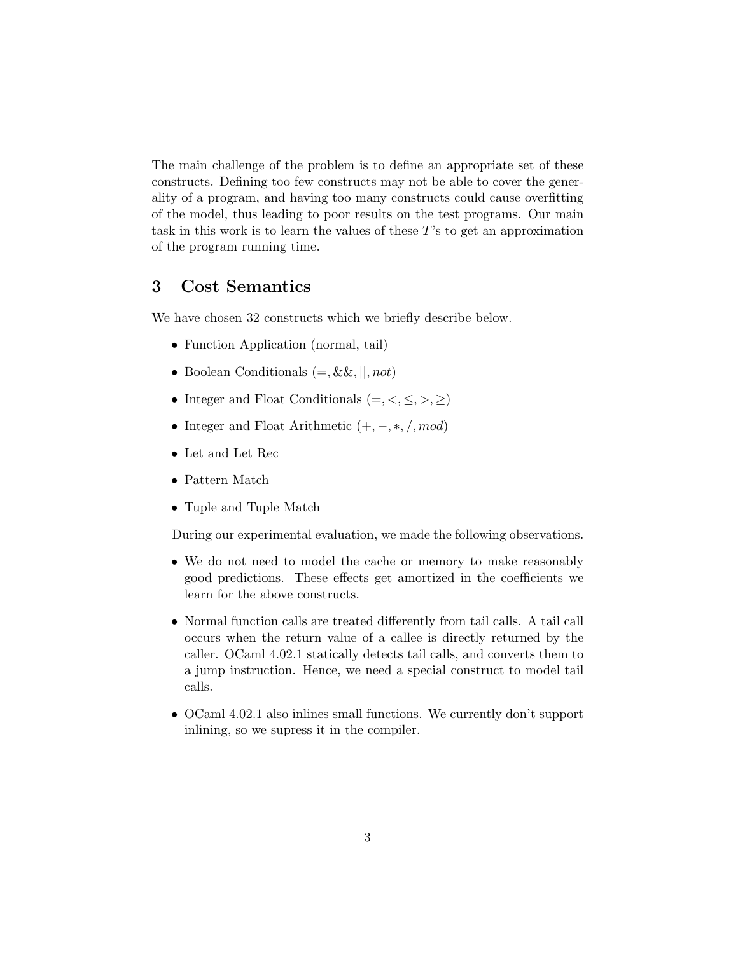The main challenge of the problem is to define an appropriate set of these constructs. Defining too few constructs may not be able to cover the generality of a program, and having too many constructs could cause overfitting of the model, thus leading to poor results on the test programs. Our main task in this work is to learn the values of these T's to get an approximation of the program running time.

# 3 Cost Semantics

We have chosen 32 constructs which we briefly describe below.

- Function Application (normal, tail)
- Boolean Conditionals  $(=, \&\&, ||, not)$
- Integer and Float Conditionals  $(=, <, \leq, >, \geq)$
- Integer and Float Arithmetic  $(+, -, *, /, mod)$
- Let and Let Rec
- Pattern Match
- Tuple and Tuple Match

During our experimental evaluation, we made the following observations.

- We do not need to model the cache or memory to make reasonably good predictions. These effects get amortized in the coefficients we learn for the above constructs.
- Normal function calls are treated differently from tail calls. A tail call occurs when the return value of a callee is directly returned by the caller. OCaml 4.02.1 statically detects tail calls, and converts them to a jump instruction. Hence, we need a special construct to model tail calls.
- OCaml 4.02.1 also inlines small functions. We currently don't support inlining, so we supress it in the compiler.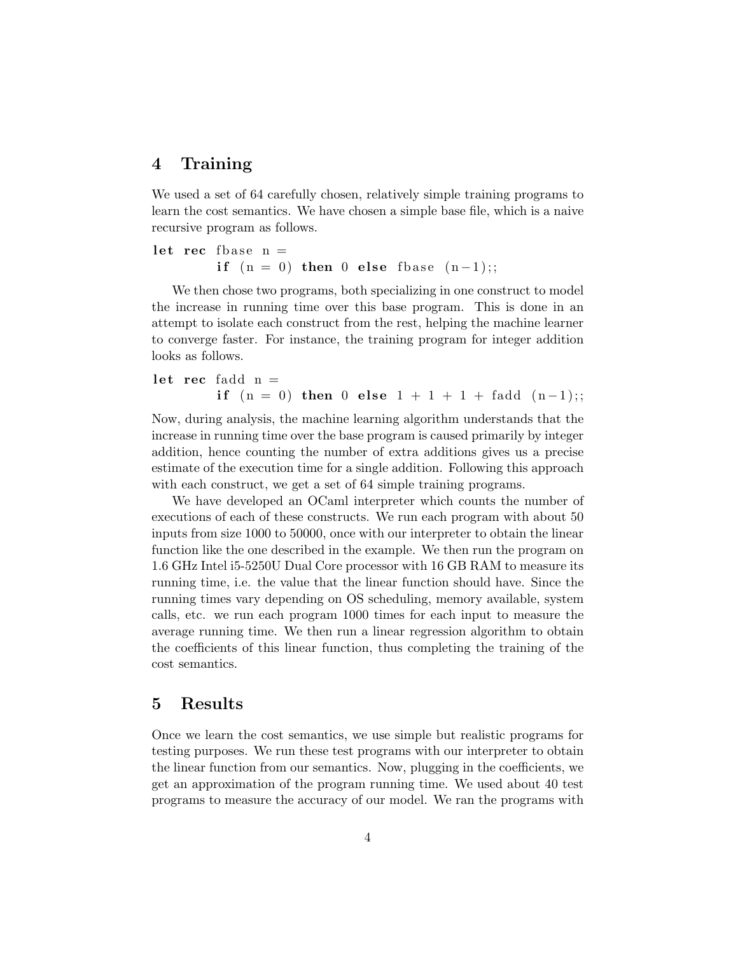#### 4 Training

We used a set of 64 carefully chosen, relatively simple training programs to learn the cost semantics. We have chosen a simple base file, which is a naive recursive program as follows.

let rec fbase  $n =$ if  $(n = 0)$  then 0 else fbase  $(n-1);$ 

We then chose two programs, both specializing in one construct to model the increase in running time over this base program. This is done in an attempt to isolate each construct from the rest, helping the machine learner to converge faster. For instance, the training program for integer addition looks as follows.

let rec fadd 
$$
n =
$$
  
if  $(n = 0)$  then 0 else  $1 + 1 + 1 +$  fadd  $(n-1)$ 

Now, during analysis, the machine learning algorithm understands that the increase in running time over the base program is caused primarily by integer addition, hence counting the number of extra additions gives us a precise estimate of the execution time for a single addition. Following this approach with each construct, we get a set of 64 simple training programs.

We have developed an OCaml interpreter which counts the number of executions of each of these constructs. We run each program with about 50 inputs from size 1000 to 50000, once with our interpreter to obtain the linear function like the one described in the example. We then run the program on 1.6 GHz Intel i5-5250U Dual Core processor with 16 GB RAM to measure its running time, i.e. the value that the linear function should have. Since the running times vary depending on OS scheduling, memory available, system calls, etc. we run each program 1000 times for each input to measure the average running time. We then run a linear regression algorithm to obtain the coefficients of this linear function, thus completing the training of the cost semantics.

#### 5 Results

Once we learn the cost semantics, we use simple but realistic programs for testing purposes. We run these test programs with our interpreter to obtain the linear function from our semantics. Now, plugging in the coefficients, we get an approximation of the program running time. We used about 40 test programs to measure the accuracy of our model. We ran the programs with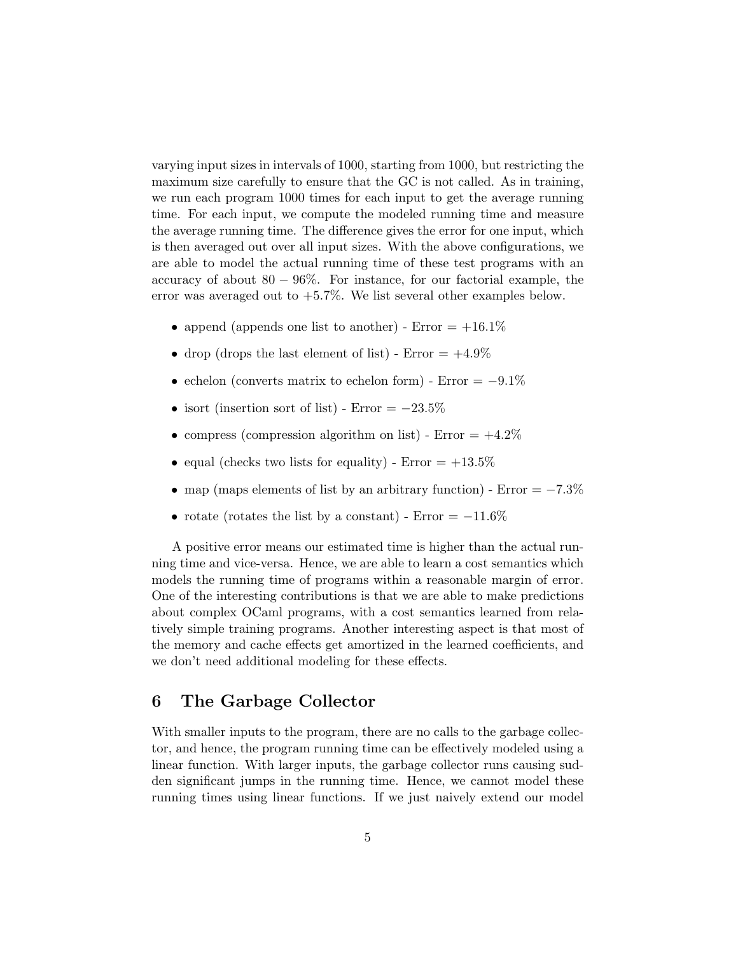varying input sizes in intervals of 1000, starting from 1000, but restricting the maximum size carefully to ensure that the GC is not called. As in training, we run each program 1000 times for each input to get the average running time. For each input, we compute the modeled running time and measure the average running time. The difference gives the error for one input, which is then averaged out over all input sizes. With the above configurations, we are able to model the actual running time of these test programs with an accuracy of about  $80 - 96\%$ . For instance, for our factorial example, the error was averaged out to  $+5.7\%$ . We list several other examples below.

- append (appends one list to another) Error  $= +16.1\%$
- drop (drops the last element of list) Error  $= +4.9\%$
- echelon (converts matrix to echelon form) Error =  $-9.1\%$
- isort (insertion sort of list) Error  $= -23.5\%$
- compress (compression algorithm on list) Error  $= +4.2\%$
- equal (checks two lists for equality) Error  $= +13.5\%$
- map (maps elements of list by an arbitrary function) Error =  $-7.3\%$
- rotate (rotates the list by a constant) Error  $= -11.6\%$

A positive error means our estimated time is higher than the actual running time and vice-versa. Hence, we are able to learn a cost semantics which models the running time of programs within a reasonable margin of error. One of the interesting contributions is that we are able to make predictions about complex OCaml programs, with a cost semantics learned from relatively simple training programs. Another interesting aspect is that most of the memory and cache effects get amortized in the learned coefficients, and we don't need additional modeling for these effects.

# 6 The Garbage Collector

With smaller inputs to the program, there are no calls to the garbage collector, and hence, the program running time can be effectively modeled using a linear function. With larger inputs, the garbage collector runs causing sudden significant jumps in the running time. Hence, we cannot model these running times using linear functions. If we just naively extend our model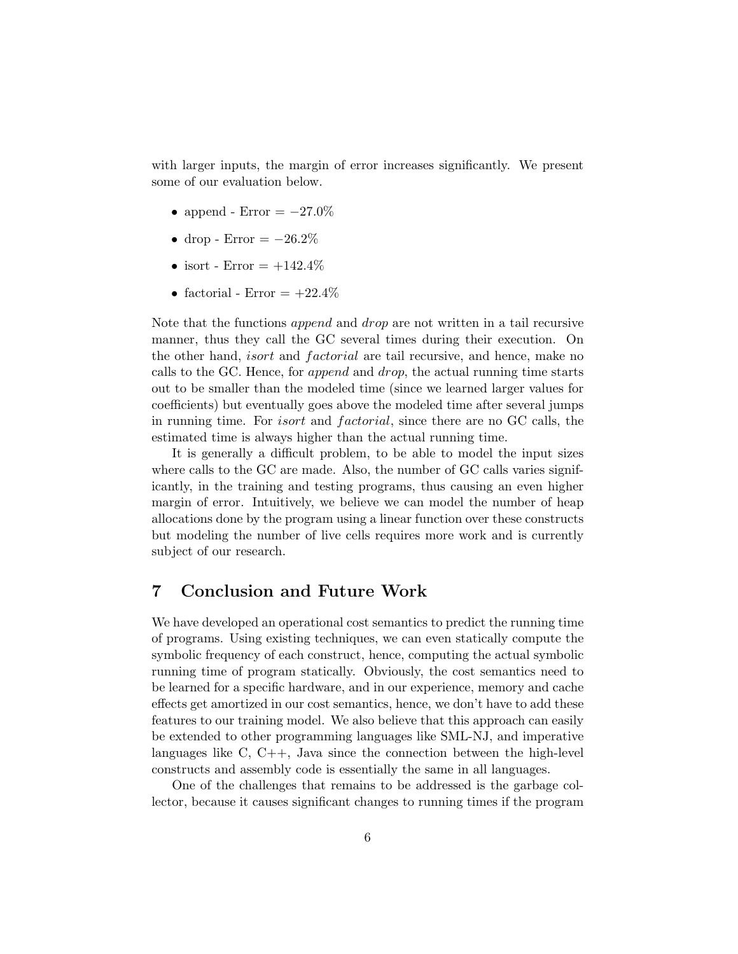with larger inputs, the margin of error increases significantly. We present some of our evaluation below.

- append Error  $= -27.0\%$
- drop Error  $= -26.2\%$
- isort Error  $= +142.4\%$
- factorial Error  $= +22.4\%$

Note that the functions append and drop are not written in a tail recursive manner, thus they call the GC several times during their execution. On the other hand, *isort* and *factorial* are tail recursive, and hence, make no calls to the GC. Hence, for append and drop, the actual running time starts out to be smaller than the modeled time (since we learned larger values for coefficients) but eventually goes above the modeled time after several jumps in running time. For *isort* and *factorial*, since there are no GC calls, the estimated time is always higher than the actual running time.

It is generally a difficult problem, to be able to model the input sizes where calls to the GC are made. Also, the number of GC calls varies significantly, in the training and testing programs, thus causing an even higher margin of error. Intuitively, we believe we can model the number of heap allocations done by the program using a linear function over these constructs but modeling the number of live cells requires more work and is currently subject of our research.

# 7 Conclusion and Future Work

We have developed an operational cost semantics to predict the running time of programs. Using existing techniques, we can even statically compute the symbolic frequency of each construct, hence, computing the actual symbolic running time of program statically. Obviously, the cost semantics need to be learned for a specific hardware, and in our experience, memory and cache effects get amortized in our cost semantics, hence, we don't have to add these features to our training model. We also believe that this approach can easily be extended to other programming languages like SML-NJ, and imperative languages like  $C, C++,$  Java since the connection between the high-level constructs and assembly code is essentially the same in all languages.

One of the challenges that remains to be addressed is the garbage collector, because it causes significant changes to running times if the program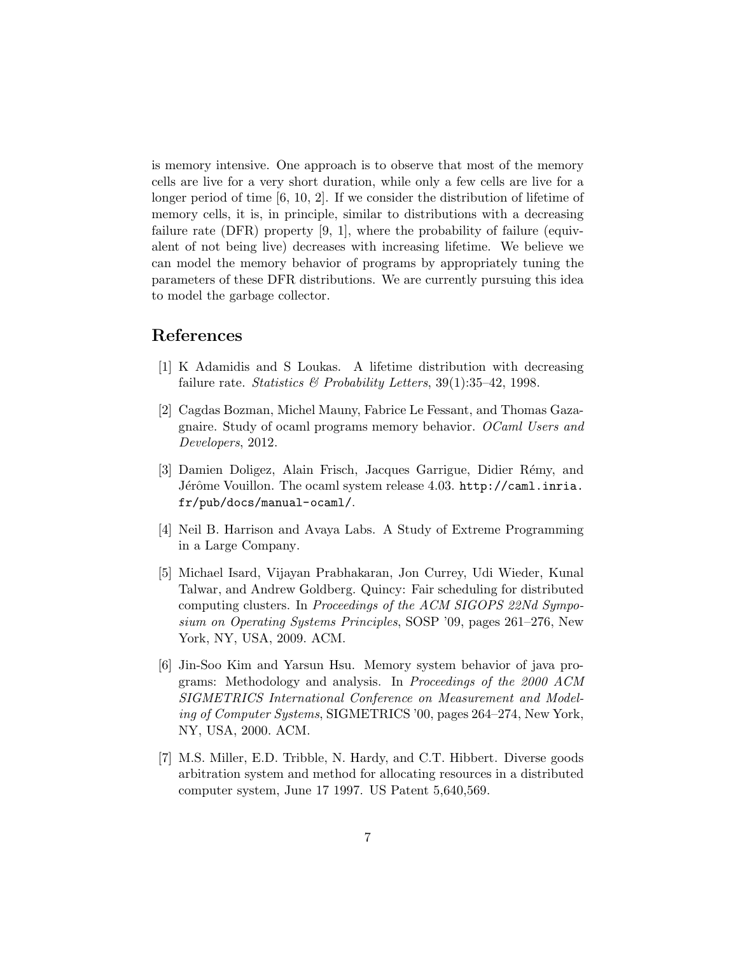is memory intensive. One approach is to observe that most of the memory cells are live for a very short duration, while only a few cells are live for a longer period of time [6, 10, 2]. If we consider the distribution of lifetime of memory cells, it is, in principle, similar to distributions with a decreasing failure rate (DFR) property [9, 1], where the probability of failure (equivalent of not being live) decreases with increasing lifetime. We believe we can model the memory behavior of programs by appropriately tuning the parameters of these DFR distributions. We are currently pursuing this idea to model the garbage collector.

#### References

- [1] K Adamidis and S Loukas. A lifetime distribution with decreasing failure rate. Statistics & Probability Letters,  $39(1):35-42$ , 1998.
- [2] Cagdas Bozman, Michel Mauny, Fabrice Le Fessant, and Thomas Gazagnaire. Study of ocaml programs memory behavior. OCaml Users and Developers, 2012.
- [3] Damien Doligez, Alain Frisch, Jacques Garrigue, Didier Rémy, and Jérôme Vouillon. The ocaml system release 4.03. http://caml.inria. fr/pub/docs/manual-ocaml/.
- [4] Neil B. Harrison and Avaya Labs. A Study of Extreme Programming in a Large Company.
- [5] Michael Isard, Vijayan Prabhakaran, Jon Currey, Udi Wieder, Kunal Talwar, and Andrew Goldberg. Quincy: Fair scheduling for distributed computing clusters. In Proceedings of the ACM SIGOPS 22Nd Symposium on Operating Systems Principles, SOSP '09, pages 261–276, New York, NY, USA, 2009. ACM.
- [6] Jin-Soo Kim and Yarsun Hsu. Memory system behavior of java programs: Methodology and analysis. In Proceedings of the 2000 ACM SIGMETRICS International Conference on Measurement and Modeling of Computer Systems, SIGMETRICS '00, pages 264–274, New York, NY, USA, 2000. ACM.
- [7] M.S. Miller, E.D. Tribble, N. Hardy, and C.T. Hibbert. Diverse goods arbitration system and method for allocating resources in a distributed computer system, June 17 1997. US Patent 5,640,569.